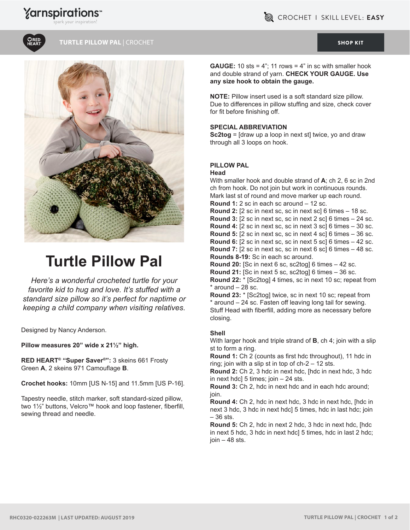# **Yarnspirations**



### **TURTLE PILLOW PAL |** CROCHET [SHOP KIT](https://www.yarnspirations.com/red-heart-turtle-pillow-pal/RHC0320-022263M.html#utm_source=pdf-yarnspirations&utm_medium=referral&utm_campaign=pdf-RHC0320-022263M)



# **Turtle Pillow Pal**

*Here's a wonderful crocheted turtle for your favorite kid to hug and love. It's stuffed with a standard size pillow so it's perfect for naptime or keeping a child company when visiting relatives.* 

Designed by Nancy Anderson.

**Pillow measures 20" wide x 21½" high.**

**RED HEART® "Super Saver®":** 3 skeins 661 Frosty Green **A**, 2 skeins 971 Camouflage **B**.

**Crochet hooks:** 10mm [US N-15] and 11.5mm [US P-16].

Tapestry needle, stitch marker, soft standard-sized pillow, two 1½" buttons, Velcro™ hook and loop fastener, fiberfill, sewing thread and needle.

**GAUGE:** 10 sts = 4"; 11 rows = 4" in sc with smaller hook and double strand of yarn. **CHECK YOUR GAUGE. Use any size hook to obtain the gauge.** 

**NOTE:** Pillow insert used is a soft standard size pillow. Due to differences in pillow stuffing and size, check cover for fit before finishing off.

### **SPECiAL ABBREviATiON**

**Sc2tog** = [draw up a loop in next st] twice, yo and draw through all 3 loops on hook.

### **PiLLOW PAL**

**Head**

With smaller hook and double strand of **A**; ch 2, 6 sc in 2nd ch from hook. Do not join but work in continuous rounds. Mark last st of round and move marker up each round. **Round 1:** 2 sc in each sc around – 12 sc. **Round 2:** [2 sc in next sc, sc in next sc] 6 times – 18 sc. **Round 3:** [2 sc in next sc, sc in next 2 sc] 6 times – 24 sc. **Round 4:** [2 sc in next sc, sc in next 3 sc] 6 times – 30 sc. **Round 5:** [2 sc in next sc, sc in next 4 sc] 6 times – 36 sc. **Round 6:** [2 sc in next sc, sc in next 5 sc] 6 times – 42 sc. **Round 7:** [2 sc in next sc, sc in next 6 sc] 6 times – 48 sc. **Rounds 8-19:** Sc in each sc around. **Round 20:** [Sc in next 6 sc, sc2tog] 6 times – 42 sc. **Round 21:** [Sc in next 5 sc, sc2tog] 6 times – 36 sc. **Round 22:** \* [Sc2tog] 4 times, sc in next 10 sc; repeat from  $*$  around  $-28$  sc. **Round 23:** \* [Sc2tog] twice, sc in next 10 sc; repeat from \* around – 24 sc. Fasten off leaving long tail for sewing.

Stuff Head with fiberfill, adding more as necessary before closing.

### **Shell**

With larger hook and triple strand of **B**, ch 4; join with a slip st to form a ring.

**Round 1:** Ch 2 (counts as first hdc throughout), 11 hdc in ring; join with a slip st in top of ch-2 – 12 sts.

**Round 2:** Ch 2, 3 hdc in next hdc, [hdc in next hdc, 3 hdc in next hdc] 5 times; join – 24 sts.

**Round 3:** Ch 2, hdc in next hdc and in each hdc around; join.

**Round 4:** Ch 2, hdc in next hdc, 3 hdc in next hdc, [hdc in next 3 hdc, 3 hdc in next hdc] 5 times, hdc in last hdc; join – 36 sts.

**Round 5:** Ch 2, hdc in next 2 hdc, 3 hdc in next hdc, [hdc in next 5 hdc, 3 hdc in next hdc] 5 times, hdc in last 2 hdc;  $join - 48$  sts.